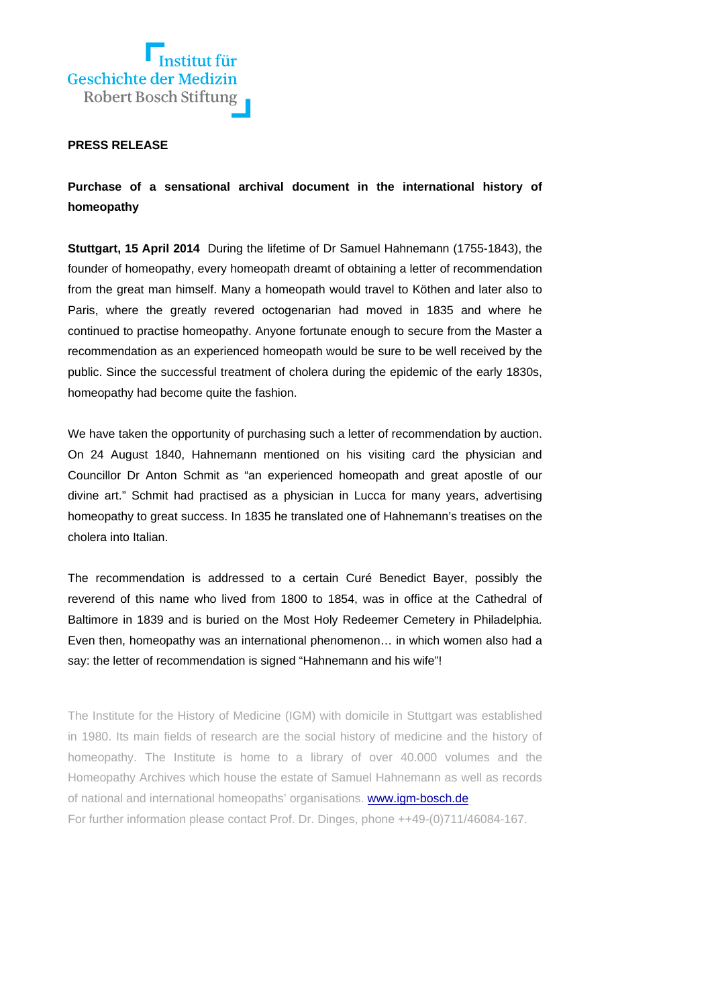

## **PRESS RELEASE**

**Purchase of a sensational archival document in the international history of homeopathy** 

**Stuttgart, 15 April 2014** During the lifetime of Dr Samuel Hahnemann (1755-1843), the founder of homeopathy, every homeopath dreamt of obtaining a letter of recommendation from the great man himself. Many a homeopath would travel to Köthen and later also to Paris, where the greatly revered octogenarian had moved in 1835 and where he continued to practise homeopathy. Anyone fortunate enough to secure from the Master a recommendation as an experienced homeopath would be sure to be well received by the public. Since the successful treatment of cholera during the epidemic of the early 1830s, homeopathy had become quite the fashion.

We have taken the opportunity of purchasing such a letter of recommendation by auction. On 24 August 1840, Hahnemann mentioned on his visiting card the physician and Councillor Dr Anton Schmit as "an experienced homeopath and great apostle of our divine art." Schmit had practised as a physician in Lucca for many years, advertising homeopathy to great success. In 1835 he translated one of Hahnemann's treatises on the cholera into Italian.

The recommendation is addressed to a certain Curé Benedict Bayer, possibly the reverend of this name who lived from 1800 to 1854, was in office at the Cathedral of Baltimore in 1839 and is buried on the Most Holy Redeemer Cemetery in Philadelphia. Even then, homeopathy was an international phenomenon… in which women also had a say: the letter of recommendation is signed "Hahnemann and his wife"!

The Institute for the History of Medicine (IGM) with domicile in Stuttgart was established in 1980. Its main fields of research are the social history of medicine and the history of homeopathy. The Institute is home to a library of over 40.000 volumes and the Homeopathy Archives which house the estate of Samuel Hahnemann as well as records of national and international homeopaths' organisations. www.igm-bosch.de For further information please contact Prof. Dr. Dinges, phone ++49-(0)711/46084-167.